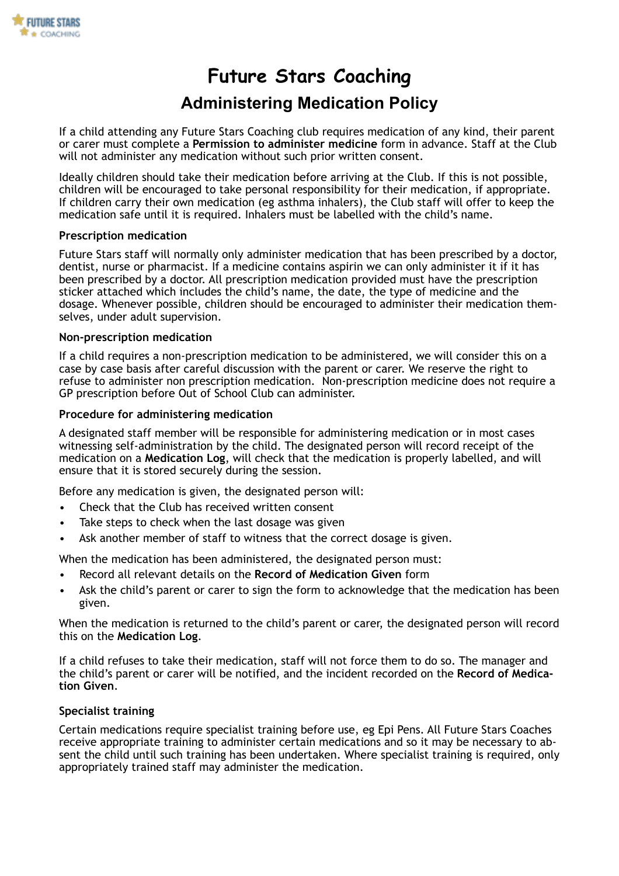

# **Future Stars Coaching**

# **Administering Medication Policy**

If a child attending any Future Stars Coaching club requires medication of any kind, their parent or carer must complete a **Permission to administer medicine** form in advance. Staff at the Club will not administer any medication without such prior written consent.

Ideally children should take their medication before arriving at the Club. If this is not possible, children will be encouraged to take personal responsibility for their medication, if appropriate. If children carry their own medication (eg asthma inhalers), the Club staff will offer to keep the medication safe until it is required. Inhalers must be labelled with the child's name.

### **Prescription medication**

Future Stars staff will normally only administer medication that has been prescribed by a doctor, dentist, nurse or pharmacist. If a medicine contains aspirin we can only administer it if it has been prescribed by a doctor. All prescription medication provided must have the prescription sticker attached which includes the child's name, the date, the type of medicine and the dosage. Whenever possible, children should be encouraged to administer their medication themselves, under adult supervision.

### **Non-prescription medication**

If a child requires a non-prescription medication to be administered, we will consider this on a case by case basis after careful discussion with the parent or carer. We reserve the right to refuse to administer non prescription medication. Non-prescription medicine does not require a GP prescription before Out of School Club can administer.

### **Procedure for administering medication**

A designated staff member will be responsible for administering medication or in most cases witnessing self-administration by the child. The designated person will record receipt of the medication on a **Medication Log**, will check that the medication is properly labelled, and will ensure that it is stored securely during the session.

Before any medication is given, the designated person will:

- Check that the Club has received written consent
- Take steps to check when the last dosage was given
- Ask another member of staff to witness that the correct dosage is given.

When the medication has been administered, the designated person must:

- Record all relevant details on the **Record of Medication Given** form
- Ask the child's parent or carer to sign the form to acknowledge that the medication has been given.

When the medication is returned to the child's parent or carer, the designated person will record this on the **Medication Log**.

If a child refuses to take their medication, staff will not force them to do so. The manager and the child's parent or carer will be notified, and the incident recorded on the **Record of Medication Given**.

#### **Specialist training**

Certain medications require specialist training before use, eg Epi Pens. All Future Stars Coaches receive appropriate training to administer certain medications and so it may be necessary to absent the child until such training has been undertaken. Where specialist training is required, only appropriately trained staff may administer the medication.